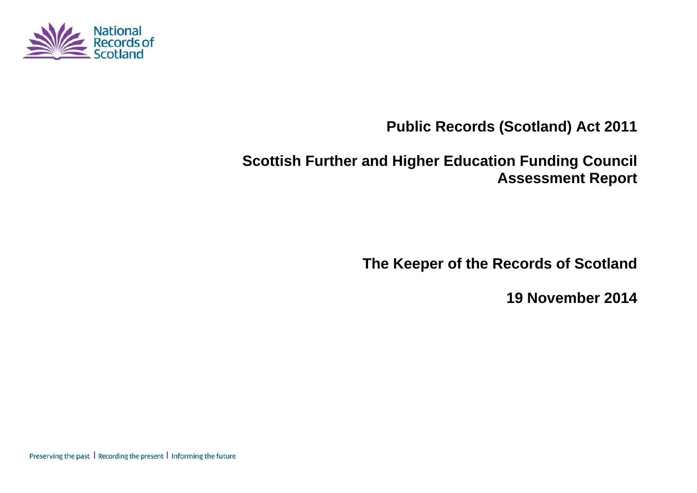

# **Public Records (Scotland) Act 2011**

# **Scottish Further and Higher Education Funding Council Assessment Report**

**The Keeper of the Records of Scotland** 

**19 November 2014** 

Preserving the past | Recording the present | Informing the future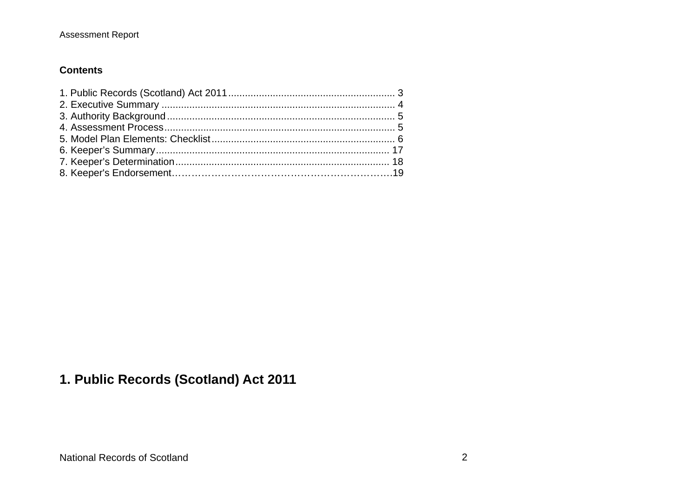#### Assessment Report

#### **Contents**

# **1. Public Records (Scotland) Act 2011**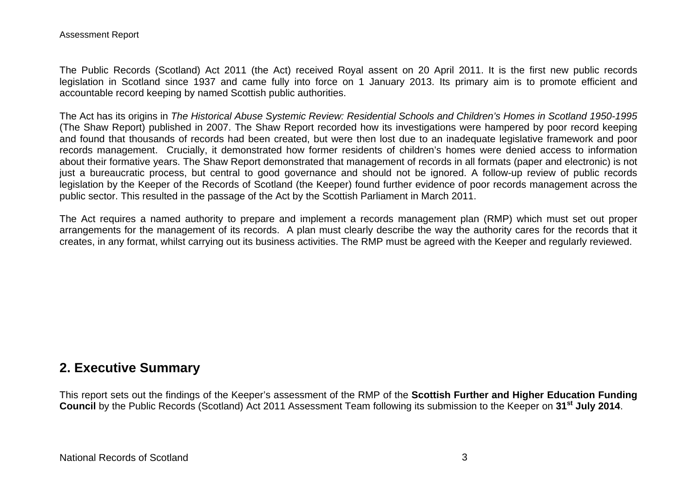The Public Records (Scotland) Act 2011 (the Act) received Royal assent on 20 April 2011. It is the first new public records legislation in Scotland since 1937 and came fully into force on 1 January 2013. Its primary aim is to promote efficient and accountable record keeping by named Scottish public authorities.

The Act has its origins in *The Historical Abuse Systemic Review: Residential Schools and Children's Homes in Scotland 1950-1995* (The Shaw Report) published in 2007. The Shaw Report recorded how its investigations were hampered by poor record keeping and found that thousands of records had been created, but were then lost due to an inadequate legislative framework and poor records management. Crucially, it demonstrated how former residents of children's homes were denied access to information about their formative years. The Shaw Report demonstrated that management of records in all formats (paper and electronic) is not just a bureaucratic process, but central to good governance and should not be ignored. A follow-up review of public records legislation by the Keeper of the Records of Scotland (the Keeper) found further evidence of poor records management across the public sector. This resulted in the passage of the Act by the Scottish Parliament in March 2011.

The Act requires a named authority to prepare and implement a records management plan (RMP) which must set out proper arrangements for the management of its records. A plan must clearly describe the way the authority cares for the records that it creates, in any format, whilst carrying out its business activities. The RMP must be agreed with the Keeper and regularly reviewed.

## **2. Executive Summary**

This report sets out the findings of the Keeper's assessment of the RMP of the **Scottish Further and Higher Education Funding Council** by the Public Records (Scotland) Act 2011 Assessment Team following its submission to the Keeper on **31st July 2014**.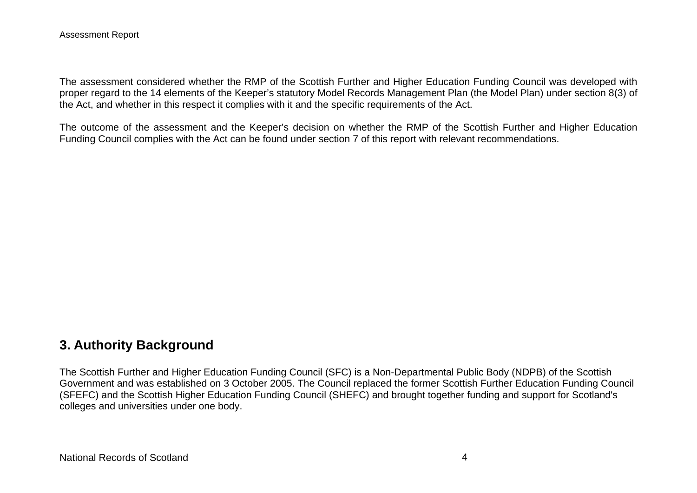The assessment considered whether the RMP of the Scottish Further and Higher Education Funding Council was developed with proper regard to the 14 elements of the Keeper's statutory Model Records Management Plan (the Model Plan) under section 8(3) of the Act, and whether in this respect it complies with it and the specific requirements of the Act.

The outcome of the assessment and the Keeper's decision on whether the RMP of the Scottish Further and Higher Education Funding Council complies with the Act can be found under section 7 of this report with relevant recommendations.

### **3. Authority Background**

The Scottish Further and Higher Education Funding Council (SFC) is a Non-Departmental Public Body (NDPB) of the Scottish Government and was established on 3 October 2005. The Council replaced the former Scottish Further Education Funding Council (SFEFC) and the Scottish Higher Education Funding Council (SHEFC) and brought together funding and support for Scotland's colleges and universities under one body.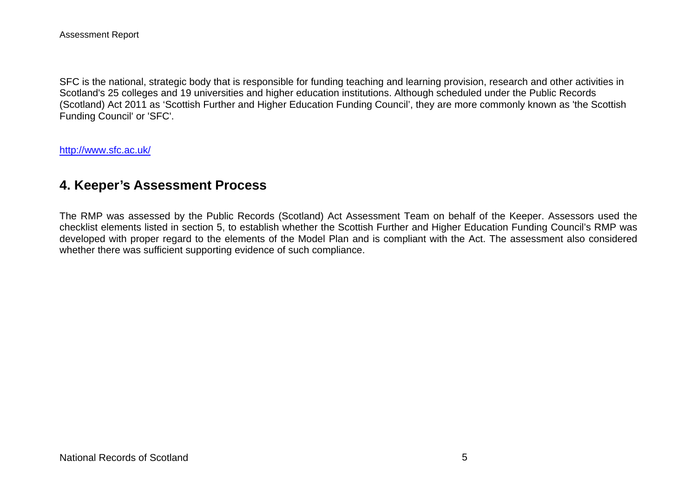SFC is the national, strategic body that is responsible for funding teaching and learning provision, research and other activities in Scotland's 25 colleges and 19 universities and higher education institutions. Although scheduled under the Public Records (Scotland) Act 2011 as 'Scottish Further and Higher Education Funding Council', they are more commonly known as 'the Scottish Funding Council' or 'SFC'.

http://www.sfc.ac.uk/

#### **4. Keeper's Assessment Process**

The RMP was assessed by the Public Records (Scotland) Act Assessment Team on behalf of the Keeper. Assessors used the checklist elements listed in section 5, to establish whether the Scottish Further and Higher Education Funding Council's RMP was developed with proper regard to the elements of the Model Plan and is compliant with the Act. The assessment also considered whether there was sufficient supporting evidence of such compliance.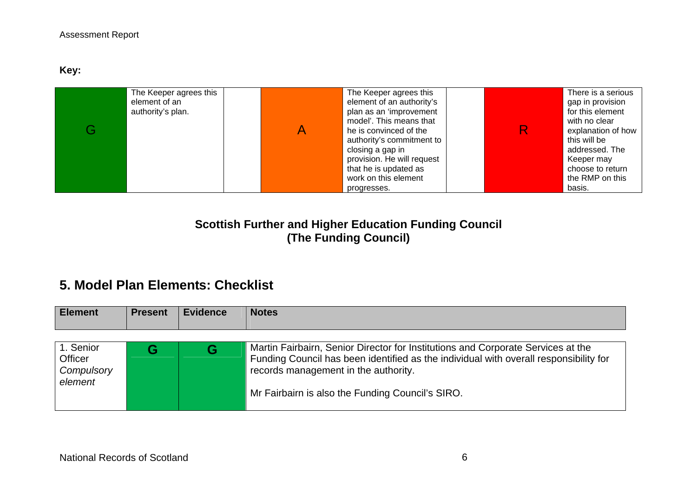**Key:** 

| The Keeper agrees this<br>element of an<br>authority's plan. | The Keeper agrees this<br>element of an authority's<br>plan as an 'improvement<br>model'. This means that<br>he is convinced of the<br>authority's commitment to<br>closing a gap in<br>provision. He will request<br>that he is updated as<br>work on this element<br>progresses. |  | There is a serious<br>gap in provision<br>for this element<br>with no clear<br>explanation of how<br>this will be<br>addressed. The<br>Keeper may<br>choose to return<br>the RMP on this<br>basis. |
|--------------------------------------------------------------|------------------------------------------------------------------------------------------------------------------------------------------------------------------------------------------------------------------------------------------------------------------------------------|--|----------------------------------------------------------------------------------------------------------------------------------------------------------------------------------------------------|
|--------------------------------------------------------------|------------------------------------------------------------------------------------------------------------------------------------------------------------------------------------------------------------------------------------------------------------------------------------|--|----------------------------------------------------------------------------------------------------------------------------------------------------------------------------------------------------|

## **Scottish Further and Higher Education Funding Council (The Funding Council)**

# **5. Model Plan Elements: Checklist**

| <b>Element</b>                                | <b>Present</b> | <b>Evidence</b> | <b>Notes</b>                                                                                                                                                                                                                                                          |
|-----------------------------------------------|----------------|-----------------|-----------------------------------------------------------------------------------------------------------------------------------------------------------------------------------------------------------------------------------------------------------------------|
| 1. Senior<br>Officer<br>Compulsory<br>element |                | G               | Martin Fairbairn, Senior Director for Institutions and Corporate Services at the<br>Funding Council has been identified as the individual with overall responsibility for<br>records management in the authority.<br>Mr Fairbairn is also the Funding Council's SIRO. |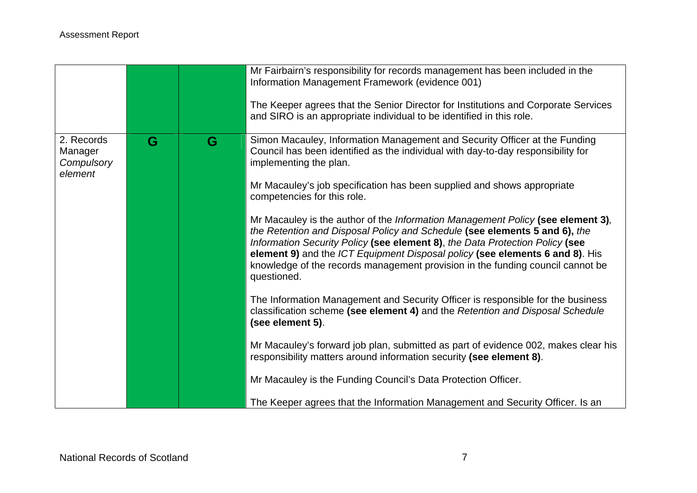|                                                |   |   | Mr Fairbairn's responsibility for records management has been included in the<br>Information Management Framework (evidence 001)<br>The Keeper agrees that the Senior Director for Institutions and Corporate Services<br>and SIRO is an appropriate individual to be identified in this role.                                                                                                                                 |
|------------------------------------------------|---|---|--------------------------------------------------------------------------------------------------------------------------------------------------------------------------------------------------------------------------------------------------------------------------------------------------------------------------------------------------------------------------------------------------------------------------------|
| 2. Records<br>Manager<br>Compulsory<br>element | G | G | Simon Macauley, Information Management and Security Officer at the Funding<br>Council has been identified as the individual with day-to-day responsibility for<br>implementing the plan.                                                                                                                                                                                                                                       |
|                                                |   |   | Mr Macauley's job specification has been supplied and shows appropriate<br>competencies for this role.                                                                                                                                                                                                                                                                                                                         |
|                                                |   |   | Mr Macauley is the author of the Information Management Policy (see element 3),<br>the Retention and Disposal Policy and Schedule (see elements 5 and 6), the<br>Information Security Policy (see element 8), the Data Protection Policy (see<br>element 9) and the ICT Equipment Disposal policy (see elements 6 and 8). His<br>knowledge of the records management provision in the funding council cannot be<br>questioned. |
|                                                |   |   | The Information Management and Security Officer is responsible for the business<br>classification scheme (see element 4) and the Retention and Disposal Schedule<br>(see element 5).                                                                                                                                                                                                                                           |
|                                                |   |   | Mr Macauley's forward job plan, submitted as part of evidence 002, makes clear his<br>responsibility matters around information security (see element 8).                                                                                                                                                                                                                                                                      |
|                                                |   |   | Mr Macauley is the Funding Council's Data Protection Officer.                                                                                                                                                                                                                                                                                                                                                                  |
|                                                |   |   | The Keeper agrees that the Information Management and Security Officer. Is an                                                                                                                                                                                                                                                                                                                                                  |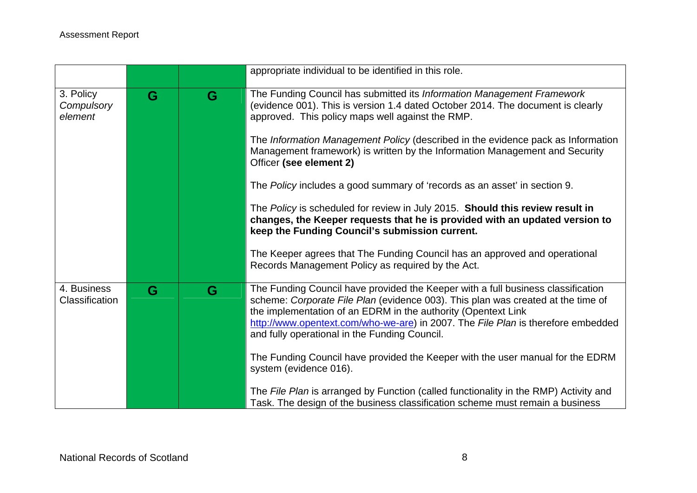|                                      |   |   | appropriate individual to be identified in this role.                                                                                                                                                                                                                                                                                                                                                                                                                                                                                                                                                                                                                                                                                                                                                                                         |
|--------------------------------------|---|---|-----------------------------------------------------------------------------------------------------------------------------------------------------------------------------------------------------------------------------------------------------------------------------------------------------------------------------------------------------------------------------------------------------------------------------------------------------------------------------------------------------------------------------------------------------------------------------------------------------------------------------------------------------------------------------------------------------------------------------------------------------------------------------------------------------------------------------------------------|
| 3. Policy<br>Compulsory<br>element   | G | G | The Funding Council has submitted its Information Management Framework<br>(evidence 001). This is version 1.4 dated October 2014. The document is clearly<br>approved. This policy maps well against the RMP.<br>The Information Management Policy (described in the evidence pack as Information<br>Management framework) is written by the Information Management and Security<br>Officer (see element 2)<br>The Policy includes a good summary of 'records as an asset' in section 9.<br>The Policy is scheduled for review in July 2015. Should this review result in<br>changes, the Keeper requests that he is provided with an updated version to<br>keep the Funding Council's submission current.<br>The Keeper agrees that The Funding Council has an approved and operational<br>Records Management Policy as required by the Act. |
| 4. Business<br><b>Classification</b> | G | G | The Funding Council have provided the Keeper with a full business classification<br>scheme: Corporate File Plan (evidence 003). This plan was created at the time of<br>the implementation of an EDRM in the authority (Opentext Link<br>http://www.opentext.com/who-we-are) in 2007. The File Plan is therefore embedded<br>and fully operational in the Funding Council.<br>The Funding Council have provided the Keeper with the user manual for the EDRM<br>system (evidence 016).<br>The File Plan is arranged by Function (called functionality in the RMP) Activity and<br>Task. The design of the business classification scheme must remain a business                                                                                                                                                                               |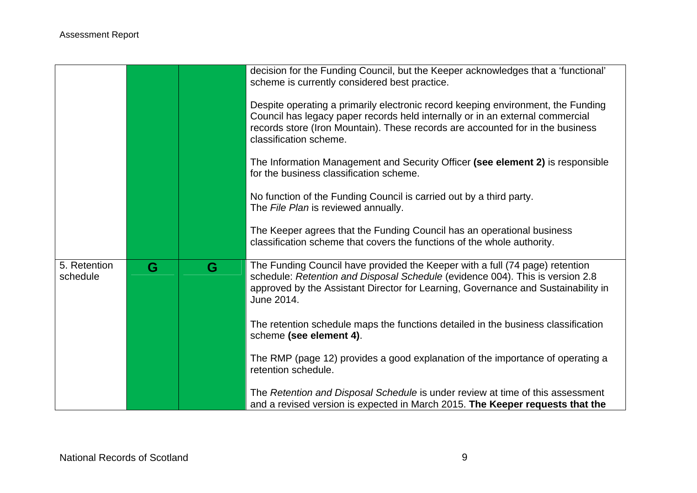|                          |   |   | decision for the Funding Council, but the Keeper acknowledges that a 'functional'<br>scheme is currently considered best practice.<br>Despite operating a primarily electronic record keeping environment, the Funding                                           |
|--------------------------|---|---|------------------------------------------------------------------------------------------------------------------------------------------------------------------------------------------------------------------------------------------------------------------|
|                          |   |   | Council has legacy paper records held internally or in an external commercial<br>records store (Iron Mountain). These records are accounted for in the business<br>classification scheme.                                                                        |
|                          |   |   | The Information Management and Security Officer (see element 2) is responsible<br>for the business classification scheme.                                                                                                                                        |
|                          |   |   | No function of the Funding Council is carried out by a third party.<br>The File Plan is reviewed annually.                                                                                                                                                       |
|                          |   |   | The Keeper agrees that the Funding Council has an operational business<br>classification scheme that covers the functions of the whole authority.                                                                                                                |
| 5. Retention<br>schedule | G | G | The Funding Council have provided the Keeper with a full (74 page) retention<br>schedule: Retention and Disposal Schedule (evidence 004). This is version 2.8<br>approved by the Assistant Director for Learning, Governance and Sustainability in<br>June 2014. |
|                          |   |   | The retention schedule maps the functions detailed in the business classification<br>scheme (see element 4).                                                                                                                                                     |
|                          |   |   | The RMP (page 12) provides a good explanation of the importance of operating a<br>retention schedule.                                                                                                                                                            |
|                          |   |   | The Retention and Disposal Schedule is under review at time of this assessment<br>and a revised version is expected in March 2015. The Keeper requests that the                                                                                                  |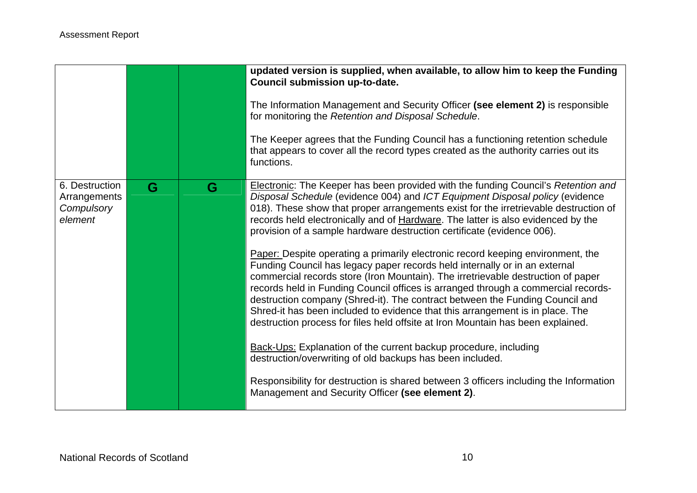|                                                         |   |   | updated version is supplied, when available, to allow him to keep the Funding<br>Council submission up-to-date.<br>The Information Management and Security Officer (see element 2) is responsible<br>for monitoring the Retention and Disposal Schedule.<br>The Keeper agrees that the Funding Council has a functioning retention schedule                                                                                                                                                                                                                                                |
|---------------------------------------------------------|---|---|--------------------------------------------------------------------------------------------------------------------------------------------------------------------------------------------------------------------------------------------------------------------------------------------------------------------------------------------------------------------------------------------------------------------------------------------------------------------------------------------------------------------------------------------------------------------------------------------|
|                                                         |   |   | that appears to cover all the record types created as the authority carries out its<br>functions.                                                                                                                                                                                                                                                                                                                                                                                                                                                                                          |
| 6. Destruction<br>Arrangements<br>Compulsory<br>element | G | G | Electronic: The Keeper has been provided with the funding Council's Retention and<br>Disposal Schedule (evidence 004) and ICT Equipment Disposal policy (evidence<br>018). These show that proper arrangements exist for the irretrievable destruction of<br>records held electronically and of Hardware. The latter is also evidenced by the<br>provision of a sample hardware destruction certificate (evidence 006).                                                                                                                                                                    |
|                                                         |   |   | Paper: Despite operating a primarily electronic record keeping environment, the<br>Funding Council has legacy paper records held internally or in an external<br>commercial records store (Iron Mountain). The irretrievable destruction of paper<br>records held in Funding Council offices is arranged through a commercial records-<br>destruction company (Shred-it). The contract between the Funding Council and<br>Shred-it has been included to evidence that this arrangement is in place. The<br>destruction process for files held offsite at Iron Mountain has been explained. |
|                                                         |   |   | Back-Ups: Explanation of the current backup procedure, including<br>destruction/overwriting of old backups has been included.                                                                                                                                                                                                                                                                                                                                                                                                                                                              |
|                                                         |   |   | Responsibility for destruction is shared between 3 officers including the Information<br>Management and Security Officer (see element 2).                                                                                                                                                                                                                                                                                                                                                                                                                                                  |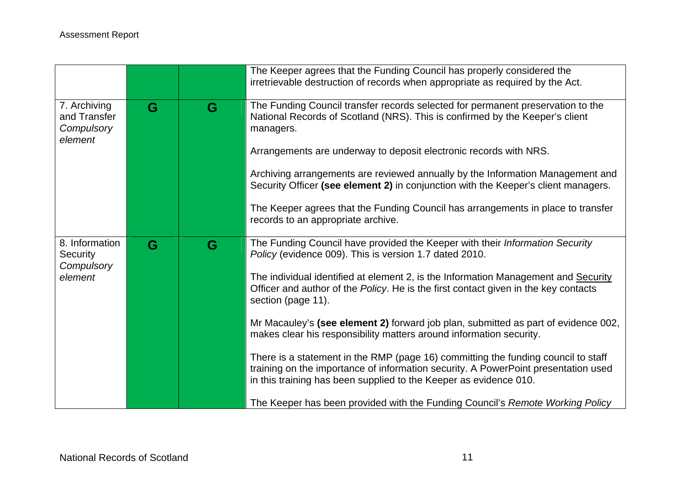|                                                       |   |   | The Keeper agrees that the Funding Council has properly considered the<br>irretrievable destruction of records when appropriate as required by the Act.                                                                                      |
|-------------------------------------------------------|---|---|----------------------------------------------------------------------------------------------------------------------------------------------------------------------------------------------------------------------------------------------|
| 7. Archiving<br>and Transfer<br>Compulsory<br>element | G | G | The Funding Council transfer records selected for permanent preservation to the<br>National Records of Scotland (NRS). This is confirmed by the Keeper's client<br>managers.                                                                 |
|                                                       |   |   | Arrangements are underway to deposit electronic records with NRS.                                                                                                                                                                            |
|                                                       |   |   | Archiving arrangements are reviewed annually by the Information Management and<br>Security Officer (see element 2) in conjunction with the Keeper's client managers.                                                                         |
|                                                       |   |   | The Keeper agrees that the Funding Council has arrangements in place to transfer<br>records to an appropriate archive.                                                                                                                       |
| 8. Information<br>Security                            | G | G | The Funding Council have provided the Keeper with their Information Security<br>Policy (evidence 009). This is version 1.7 dated 2010.                                                                                                       |
| Compulsory<br>element                                 |   |   | The individual identified at element 2, is the Information Management and Security<br>Officer and author of the Policy. He is the first contact given in the key contacts<br>section (page 11).                                              |
|                                                       |   |   | Mr Macauley's (see element 2) forward job plan, submitted as part of evidence 002,<br>makes clear his responsibility matters around information security.                                                                                    |
|                                                       |   |   | There is a statement in the RMP (page 16) committing the funding council to staff<br>training on the importance of information security. A PowerPoint presentation used<br>in this training has been supplied to the Keeper as evidence 010. |
|                                                       |   |   | The Keeper has been provided with the Funding Council's Remote Working Policy                                                                                                                                                                |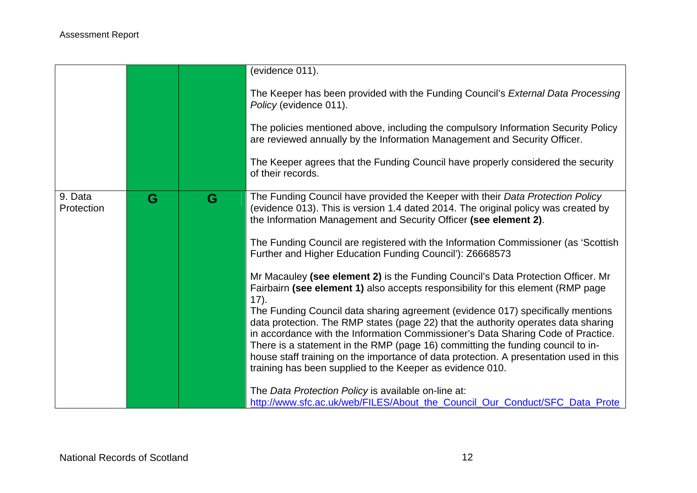|                       |   |   | (evidence 011).                                                                                                                                                                                                                                           |
|-----------------------|---|---|-----------------------------------------------------------------------------------------------------------------------------------------------------------------------------------------------------------------------------------------------------------|
|                       |   |   | The Keeper has been provided with the Funding Council's External Data Processing<br>Policy (evidence 011).                                                                                                                                                |
|                       |   |   | The policies mentioned above, including the compulsory Information Security Policy<br>are reviewed annually by the Information Management and Security Officer.                                                                                           |
|                       |   |   | The Keeper agrees that the Funding Council have properly considered the security<br>of their records.                                                                                                                                                     |
| 9. Data<br>Protection | G | G | The Funding Council have provided the Keeper with their Data Protection Policy<br>(evidence 013). This is version 1.4 dated 2014. The original policy was created by<br>the Information Management and Security Officer (see element 2).                  |
|                       |   |   | The Funding Council are registered with the Information Commissioner (as 'Scottish<br>Further and Higher Education Funding Council'): Z6668573                                                                                                            |
|                       |   |   | Mr Macauley (see element 2) is the Funding Council's Data Protection Officer. Mr<br>Fairbairn (see element 1) also accepts responsibility for this element (RMP page<br>17).                                                                              |
|                       |   |   | The Funding Council data sharing agreement (evidence 017) specifically mentions<br>data protection. The RMP states (page 22) that the authority operates data sharing<br>in accordance with the Information Commissioner's Data Sharing Code of Practice. |
|                       |   |   | There is a statement in the RMP (page 16) committing the funding council to in-<br>house staff training on the importance of data protection. A presentation used in this<br>training has been supplied to the Keeper as evidence 010.                    |
|                       |   |   | The Data Protection Policy is available on-line at:<br>http://www.sfc.ac.uk/web/FILES/About_the_Council_Our_Conduct/SFC_Data_Prote                                                                                                                        |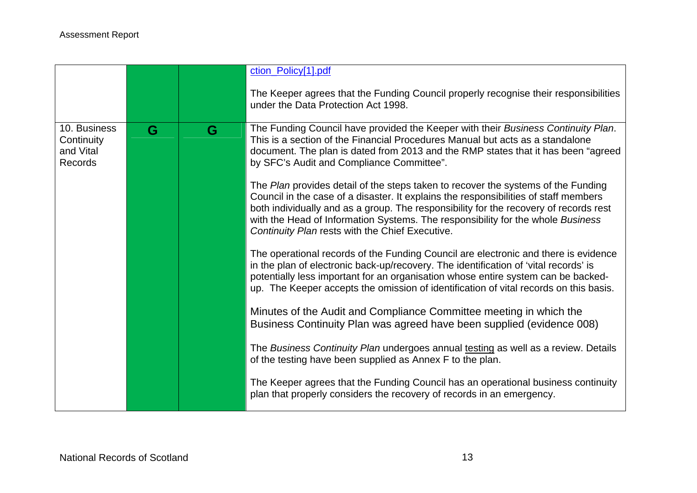|                                                    |   |   | ction_Policy[1].pdf                                                                                                                                                                                                                                                                                                                                                                                      |
|----------------------------------------------------|---|---|----------------------------------------------------------------------------------------------------------------------------------------------------------------------------------------------------------------------------------------------------------------------------------------------------------------------------------------------------------------------------------------------------------|
|                                                    |   |   | The Keeper agrees that the Funding Council properly recognise their responsibilities<br>under the Data Protection Act 1998.                                                                                                                                                                                                                                                                              |
| 10. Business<br>Continuity<br>and Vital<br>Records | G | G | The Funding Council have provided the Keeper with their Business Continuity Plan.<br>This is a section of the Financial Procedures Manual but acts as a standalone<br>document. The plan is dated from 2013 and the RMP states that it has been "agreed<br>by SFC's Audit and Compliance Committee".                                                                                                     |
|                                                    |   |   | The Plan provides detail of the steps taken to recover the systems of the Funding<br>Council in the case of a disaster. It explains the responsibilities of staff members<br>both individually and as a group. The responsibility for the recovery of records rest<br>with the Head of Information Systems. The responsibility for the whole Business<br>Continuity Plan rests with the Chief Executive. |
|                                                    |   |   | The operational records of the Funding Council are electronic and there is evidence<br>in the plan of electronic back-up/recovery. The identification of 'vital records' is<br>potentially less important for an organisation whose entire system can be backed-<br>up. The Keeper accepts the omission of identification of vital records on this basis.                                                |
|                                                    |   |   | Minutes of the Audit and Compliance Committee meeting in which the<br>Business Continuity Plan was agreed have been supplied (evidence 008)                                                                                                                                                                                                                                                              |
|                                                    |   |   | The Business Continuity Plan undergoes annual testing as well as a review. Details<br>of the testing have been supplied as Annex F to the plan.                                                                                                                                                                                                                                                          |
|                                                    |   |   | The Keeper agrees that the Funding Council has an operational business continuity<br>plan that properly considers the recovery of records in an emergency.                                                                                                                                                                                                                                               |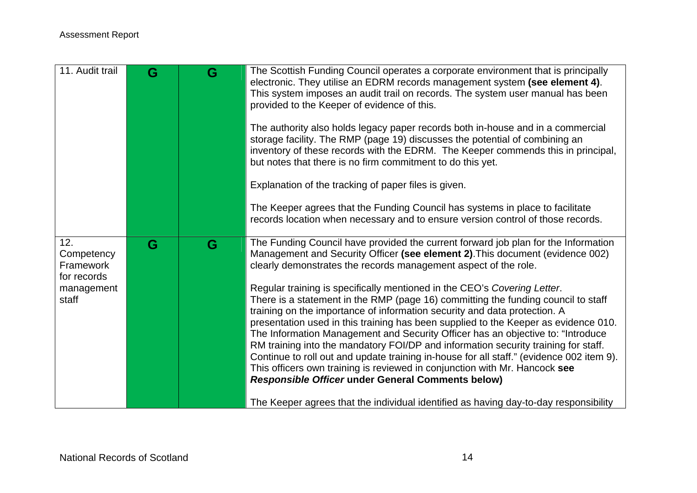| 11. Audit trail                                                      | G | G | The Scottish Funding Council operates a corporate environment that is principally<br>electronic. They utilise an EDRM records management system (see element 4).<br>This system imposes an audit trail on records. The system user manual has been<br>provided to the Keeper of evidence of this.<br>The authority also holds legacy paper records both in-house and in a commercial<br>storage facility. The RMP (page 19) discusses the potential of combining an<br>inventory of these records with the EDRM. The Keeper commends this in principal,<br>but notes that there is no firm commitment to do this yet.<br>Explanation of the tracking of paper files is given.<br>The Keeper agrees that the Funding Council has systems in place to facilitate<br>records location when necessary and to ensure version control of those records.                                                                                                                                                                                                                                  |
|----------------------------------------------------------------------|---|---|------------------------------------------------------------------------------------------------------------------------------------------------------------------------------------------------------------------------------------------------------------------------------------------------------------------------------------------------------------------------------------------------------------------------------------------------------------------------------------------------------------------------------------------------------------------------------------------------------------------------------------------------------------------------------------------------------------------------------------------------------------------------------------------------------------------------------------------------------------------------------------------------------------------------------------------------------------------------------------------------------------------------------------------------------------------------------------|
| 12.<br>Competency<br>Framework<br>for records<br>management<br>staff | G | G | The Funding Council have provided the current forward job plan for the Information<br>Management and Security Officer (see element 2). This document (evidence 002)<br>clearly demonstrates the records management aspect of the role.<br>Regular training is specifically mentioned in the CEO's Covering Letter.<br>There is a statement in the RMP (page 16) committing the funding council to staff<br>training on the importance of information security and data protection. A<br>presentation used in this training has been supplied to the Keeper as evidence 010.<br>The Information Management and Security Officer has an objective to: "Introduce<br>RM training into the mandatory FOI/DP and information security training for staff.<br>Continue to roll out and update training in-house for all staff." (evidence 002 item 9).<br>This officers own training is reviewed in conjunction with Mr. Hancock see<br><b>Responsible Officer under General Comments below)</b><br>The Keeper agrees that the individual identified as having day-to-day responsibility |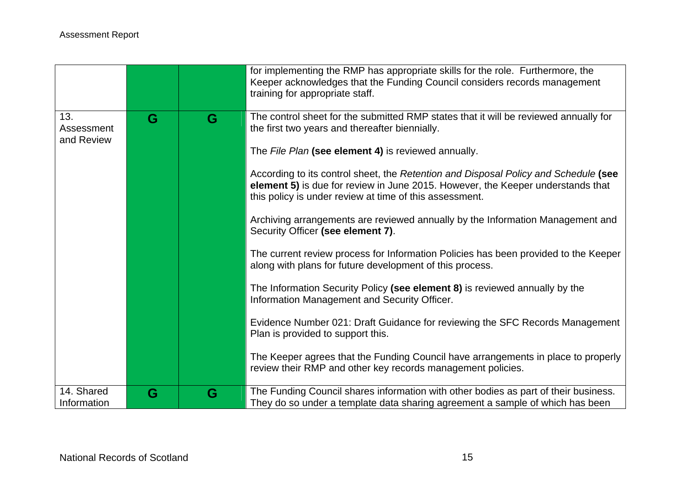|                                 |   |   | for implementing the RMP has appropriate skills for the role. Furthermore, the<br>Keeper acknowledges that the Funding Council considers records management<br>training for appropriate staff.                                    |
|---------------------------------|---|---|-----------------------------------------------------------------------------------------------------------------------------------------------------------------------------------------------------------------------------------|
| 13.<br>Assessment<br>and Review | G | G | The control sheet for the submitted RMP states that it will be reviewed annually for<br>the first two years and thereafter biennially.                                                                                            |
|                                 |   |   | The File Plan (see element 4) is reviewed annually.                                                                                                                                                                               |
|                                 |   |   | According to its control sheet, the Retention and Disposal Policy and Schedule (see<br>element 5) is due for review in June 2015. However, the Keeper understands that<br>this policy is under review at time of this assessment. |
|                                 |   |   | Archiving arrangements are reviewed annually by the Information Management and<br>Security Officer (see element 7).                                                                                                               |
|                                 |   |   | The current review process for Information Policies has been provided to the Keeper<br>along with plans for future development of this process.                                                                                   |
|                                 |   |   | The Information Security Policy (see element 8) is reviewed annually by the<br>Information Management and Security Officer.                                                                                                       |
|                                 |   |   | Evidence Number 021: Draft Guidance for reviewing the SFC Records Management<br>Plan is provided to support this.                                                                                                                 |
|                                 |   |   | The Keeper agrees that the Funding Council have arrangements in place to properly<br>review their RMP and other key records management policies.                                                                                  |
| 14. Shared<br>Information       | G | G | The Funding Council shares information with other bodies as part of their business.<br>They do so under a template data sharing agreement a sample of which has been                                                              |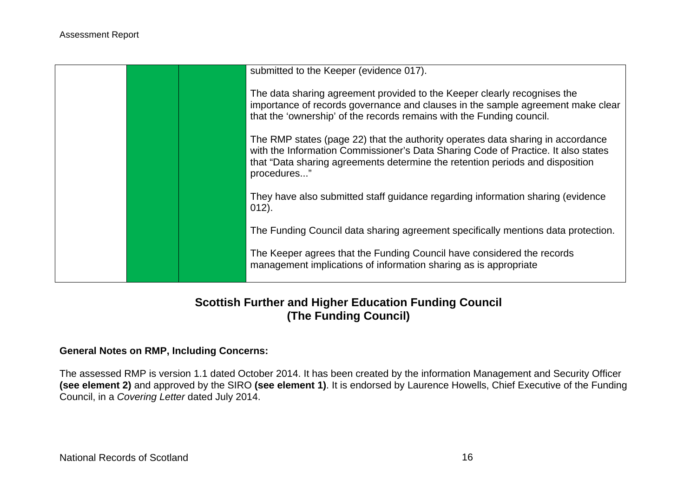|  | submitted to the Keeper (evidence 017).                                                                                                                                                                                                                              |
|--|----------------------------------------------------------------------------------------------------------------------------------------------------------------------------------------------------------------------------------------------------------------------|
|  | The data sharing agreement provided to the Keeper clearly recognises the<br>importance of records governance and clauses in the sample agreement make clear<br>that the 'ownership' of the records remains with the Funding council.                                 |
|  | The RMP states (page 22) that the authority operates data sharing in accordance<br>with the Information Commissioner's Data Sharing Code of Practice. It also states<br>that "Data sharing agreements determine the retention periods and disposition<br>procedures" |
|  | They have also submitted staff guidance regarding information sharing (evidence<br>$012$ ).                                                                                                                                                                          |
|  | The Funding Council data sharing agreement specifically mentions data protection.                                                                                                                                                                                    |
|  | The Keeper agrees that the Funding Council have considered the records<br>management implications of information sharing as is appropriate                                                                                                                           |

### **Scottish Further and Higher Education Funding Council (The Funding Council)**

#### **General Notes on RMP, Including Concerns:**

The assessed RMP is version 1.1 dated October 2014. It has been created by the information Management and Security Officer **(see element 2)** and approved by the SIRO **(see element 1)**. It is endorsed by Laurence Howells, Chief Executive of the Funding Council, in a *Covering Letter* dated July 2014.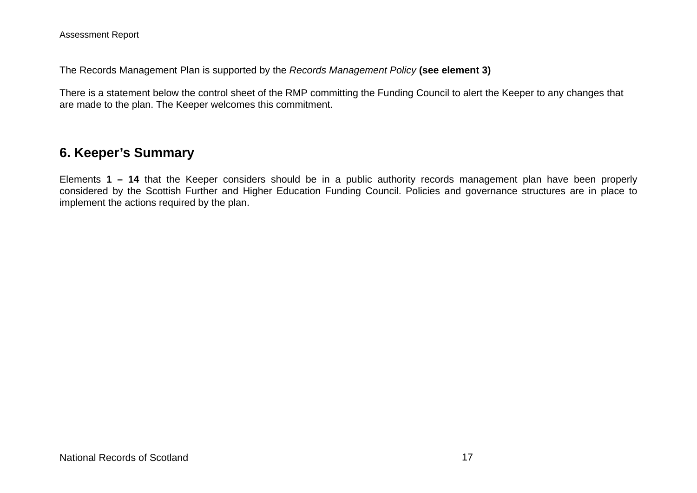The Records Management Plan is supported by the *Records Management Policy* **(see element 3)** 

There is a statement below the control sheet of the RMP committing the Funding Council to alert the Keeper to any changes that are made to the plan. The Keeper welcomes this commitment.

## **6. Keeper's Summary**

Elements **1 – 14** that the Keeper considers should be in a public authority records management plan have been properly considered by the Scottish Further and Higher Education Funding Council. Policies and governance structures are in place to implement the actions required by the plan.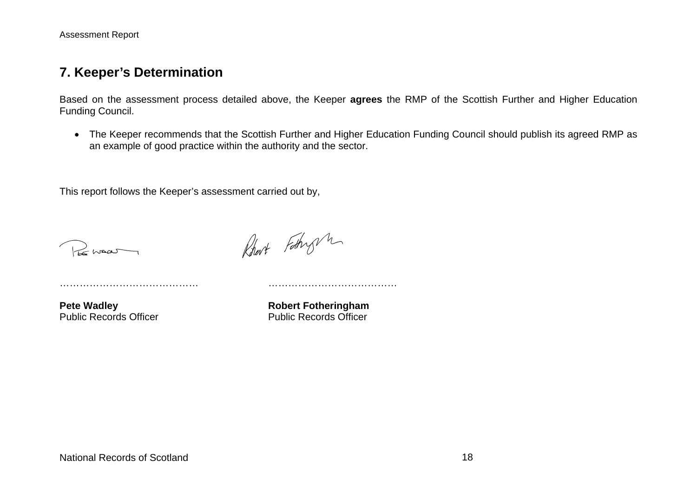Assessment Report

#### **7. Keeper's Determination**

Based on the assessment process detailed above, the Keeper **agrees** the RMP of the Scottish Further and Higher Education Funding Council.

 The Keeper recommends that the Scottish Further and Higher Education Funding Council should publish its agreed RMP as an example of good practice within the authority and the sector.

This report follows the Keeper's assessment carried out by,

…………………………………… …………………………………

REMAN

Robert Fathry m

**Pete Wadley Manual Public Records Officer Manual Public Records Officer Public Records Officer** Public Records Officer